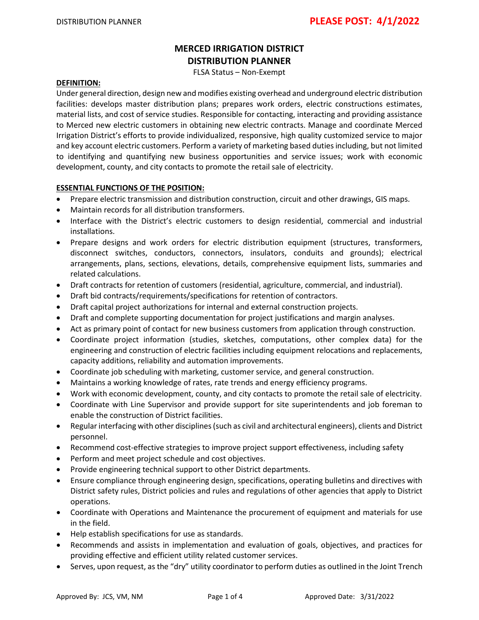# **MERCED IRRIGATION DISTRICT DISTRIBUTION PLANNER**

FLSA Status – Non-Exempt

#### **DEFINITION:**

Under general direction, design new and modifies existing overhead and underground electric distribution facilities: develops master distribution plans; prepares work orders, electric constructions estimates, material lists, and cost of service studies. Responsible for contacting, interacting and providing assistance to Merced new electric customers in obtaining new electric contracts. Manage and coordinate Merced Irrigation District's efforts to provide individualized, responsive, high quality customized service to major and key account electric customers. Perform a variety of marketing based duties including, but not limited to identifying and quantifying new business opportunities and service issues; work with economic development, county, and city contacts to promote the retail sale of electricity.

#### **ESSENTIAL FUNCTIONS OF THE POSITION:**

- Prepare electric transmission and distribution construction, circuit and other drawings, GIS maps.
- Maintain records for all distribution transformers.
- Interface with the District's electric customers to design residential, commercial and industrial installations.
- Prepare designs and work orders for electric distribution equipment (structures, transformers, disconnect switches, conductors, connectors, insulators, conduits and grounds); electrical arrangements, plans, sections, elevations, details, comprehensive equipment lists, summaries and related calculations.
- Draft contracts for retention of customers (residential, agriculture, commercial, and industrial).
- Draft bid contracts/requirements/specifications for retention of contractors.
- Draft capital project authorizations for internal and external construction projects.
- Draft and complete supporting documentation for project justifications and margin analyses.
- Act as primary point of contact for new business customers from application through construction.
- Coordinate project information (studies, sketches, computations, other complex data) for the engineering and construction of electric facilities including equipment relocations and replacements, capacity additions, reliability and automation improvements.
- Coordinate job scheduling with marketing, customer service, and general construction.
- Maintains a working knowledge of rates, rate trends and energy efficiency programs.
- Work with economic development, county, and city contacts to promote the retail sale of electricity.
- Coordinate with Line Supervisor and provide support for site superintendents and job foreman to enable the construction of District facilities.
- Regular interfacing with other disciplines (such as civil and architectural engineers), clients and District personnel.
- Recommend cost-effective strategies to improve project support effectiveness, including safety
- Perform and meet project schedule and cost objectives.
- Provide engineering technical support to other District departments.
- Ensure compliance through engineering design, specifications, operating bulletins and directives with District safety rules, District policies and rules and regulations of other agencies that apply to District operations.
- Coordinate with Operations and Maintenance the procurement of equipment and materials for use in the field.
- Help establish specifications for use as standards.
- Recommends and assists in implementation and evaluation of goals, objectives, and practices for providing effective and efficient utility related customer services.
- Serves, upon request, as the "dry" utility coordinator to perform duties as outlined in the Joint Trench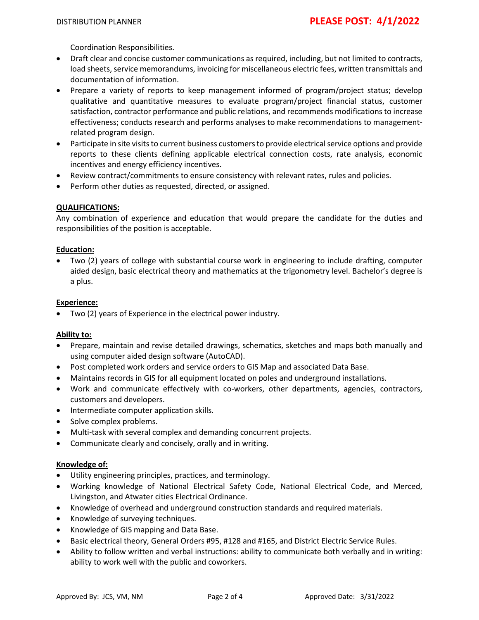Coordination Responsibilities.

- Draft clear and concise customer communications as required, including, but not limited to contracts, load sheets, service memorandums, invoicing for miscellaneous electric fees, written transmittals and documentation of information.
- Prepare a variety of reports to keep management informed of program/project status; develop qualitative and quantitative measures to evaluate program/project financial status, customer satisfaction, contractor performance and public relations, and recommends modifications to increase effectiveness; conducts research and performs analyses to make recommendations to managementrelated program design.
- Participate in site visits to current business customers to provide electrical service options and provide reports to these clients defining applicable electrical connection costs, rate analysis, economic incentives and energy efficiency incentives.
- Review contract/commitments to ensure consistency with relevant rates, rules and policies.
- Perform other duties as requested, directed, or assigned.

### **QUALIFICATIONS:**

Any combination of experience and education that would prepare the candidate for the duties and responsibilities of the position is acceptable.

### **Education:**

• Two (2) years of college with substantial course work in engineering to include drafting, computer aided design, basic electrical theory and mathematics at the trigonometry level. Bachelor's degree is a plus.

### **Experience:**

• Two (2) years of Experience in the electrical power industry.

### **Ability to:**

- Prepare, maintain and revise detailed drawings, schematics, sketches and maps both manually and using computer aided design software (AutoCAD).
- Post completed work orders and service orders to GIS Map and associated Data Base.
- Maintains records in GIS for all equipment located on poles and underground installations.
- Work and communicate effectively with co-workers, other departments, agencies, contractors, customers and developers.
- Intermediate computer application skills.
- Solve complex problems.
- Multi-task with several complex and demanding concurrent projects.
- Communicate clearly and concisely, orally and in writing.

### **Knowledge of:**

- Utility engineering principles, practices, and terminology.
- Working knowledge of National Electrical Safety Code, National Electrical Code, and Merced, Livingston, and Atwater cities Electrical Ordinance.
- Knowledge of overhead and underground construction standards and required materials.
- Knowledge of surveying techniques.
- Knowledge of GIS mapping and Data Base.
- Basic electrical theory, General Orders #95, #128 and #165, and District Electric Service Rules.
- Ability to follow written and verbal instructions: ability to communicate both verbally and in writing: ability to work well with the public and coworkers.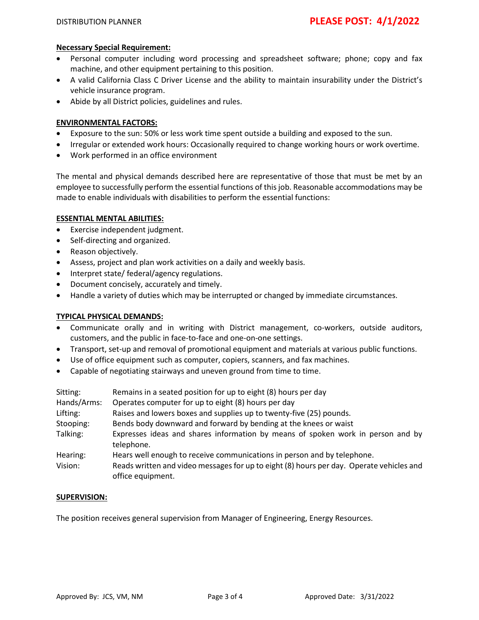### **Necessary Special Requirement:**

- Personal computer including word processing and spreadsheet software; phone; copy and fax machine, and other equipment pertaining to this position.
- A valid California Class C Driver License and the ability to maintain insurability under the District's vehicle insurance program.
- Abide by all District policies, guidelines and rules.

## **ENVIRONMENTAL FACTORS:**

- Exposure to the sun: 50% or less work time spent outside a building and exposed to the sun.
- Irregular or extended work hours: Occasionally required to change working hours or work overtime.
- Work performed in an office environment

The mental and physical demands described here are representative of those that must be met by an employee to successfully perform the essential functions of this job. Reasonable accommodations may be made to enable individuals with disabilities to perform the essential functions:

### **ESSENTIAL MENTAL ABILITIES:**

- Exercise independent judgment.
- Self-directing and organized.
- Reason objectively.
- Assess, project and plan work activities on a daily and weekly basis.
- Interpret state/ federal/agency regulations.
- Document concisely, accurately and timely.
- Handle a variety of duties which may be interrupted or changed by immediate circumstances.

### **TYPICAL PHYSICAL DEMANDS:**

- Communicate orally and in writing with District management, co-workers, outside auditors, customers, and the public in face-to-face and one-on-one settings.
- Transport, set-up and removal of promotional equipment and materials at various public functions.
- Use of office equipment such as computer, copiers, scanners, and fax machines.
- Capable of negotiating stairways and uneven ground from time to time.

| Sitting:<br>Hands/Arms:<br>Lifting: | Remains in a seated position for up to eight (8) hours per day<br>Operates computer for up to eight (8) hours per day<br>Raises and lowers boxes and supplies up to twenty-five (25) pounds. |
|-------------------------------------|----------------------------------------------------------------------------------------------------------------------------------------------------------------------------------------------|
| Stooping:<br>Talking:               | Bends body downward and forward by bending at the knees or waist<br>Expresses ideas and shares information by means of spoken work in person and by                                          |
|                                     | telephone.                                                                                                                                                                                   |
| Hearing:                            | Hears well enough to receive communications in person and by telephone.                                                                                                                      |
| Vision:                             | Reads written and video messages for up to eight (8) hours per day. Operate vehicles and<br>office equipment.                                                                                |

### **SUPERVISION:**

The position receives general supervision from Manager of Engineering, Energy Resources.